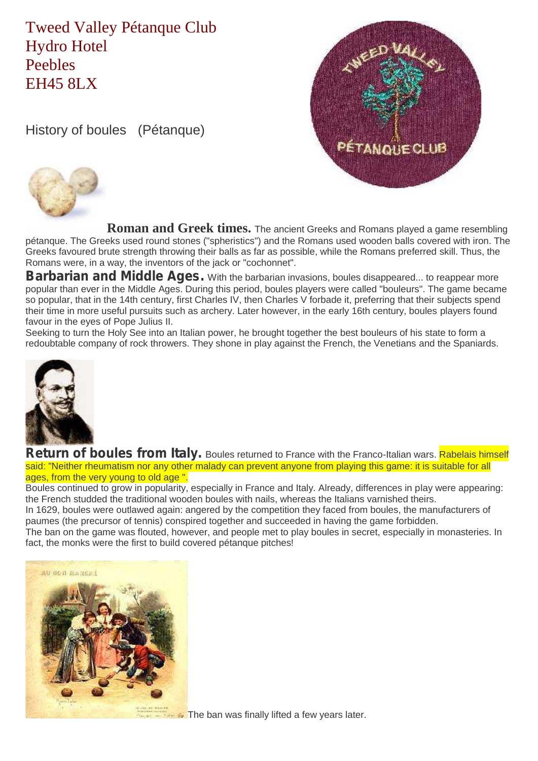## Tweed Valley Pétanque Club Hydro Hotel Peebles EH45 8LX

History of boules (Pétanque)





**Roman and Greek times.** The ancient Greeks and Romans played a game resembling pétanque. The Greeks used round stones ("spheristics") and the Romans used wooden balls covered with iron. The Greeks favoured brute strength throwing their balls as far as possible, while the Romans preferred skill. Thus, the Romans were, in a way, the inventors of the jack or "cochonnet".

**Barbarian and Middle Ages.** With the barbarian invasions, boules disappeared... to reappear more popular than ever in the Middle Ages. During this period, boules players were called "bouleurs". The game became so popular, that in the 14th century, first Charles IV, then Charles V forbade it, preferring that their subjects spend their time in more useful pursuits such as archery. Later however, in the early 16th century, boules players found favour in the eyes of Pope Julius II.

Seeking to turn the Holy See into an Italian power, he brought together the best bouleurs of his state to form a redoubtable company of rock throwers. They shone in play against the French, the Venetians and the Spaniards.



Return of boules from Italy. Boules returned to France with the Franco-Italian wars. Rabelais himself said: "Neither rheumatism nor any other malady can prevent anyone from playing this game: it is suitable for all ages, from the very young to old age ".

Boules continued to grow in popularity, especially in France and Italy. Already, differences in play were appearing: the French studded the traditional wooden boules with nails, whereas the Italians varnished theirs.

In 1629, boules were outlawed again: angered by the competition they faced from boules, the manufacturers of paumes (the precursor of tennis) conspired together and succeeded in having the game forbidden.

The ban on the game was flouted, however, and people met to play boules in secret, especially in monasteries. In fact, the monks were the first to build covered pétanque pitches!



**The ban was finally lifted a few years later.**